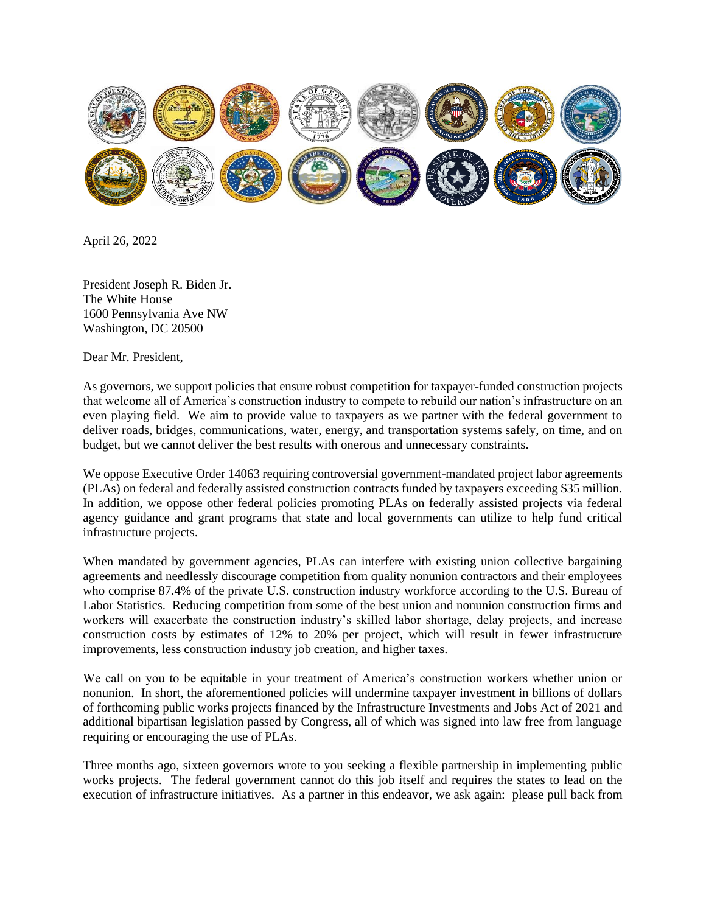

April 26, 2022

President Joseph R. Biden Jr. The White House 1600 Pennsylvania Ave NW Washington, DC 20500

Dear Mr. President,

As governors, we support policies that ensure robust competition for taxpayer-funded construction projects that welcome all of America's construction industry to compete to rebuild our nation's infrastructure on an even playing field. We aim to provide value to taxpayers as we partner with the federal government to deliver roads, bridges, communications, water, energy, and transportation systems safely, on time, and on budget, but we cannot deliver the best results with onerous and unnecessary constraints.

We oppose Executive Order 14063 requiring controversial government-mandated project labor agreements (PLAs) on federal and federally assisted construction contracts funded by taxpayers exceeding \$35 million. In addition, we oppose other federal policies promoting PLAs on federally assisted projects via federal agency guidance and grant programs that state and local governments can utilize to help fund critical infrastructure projects.

When mandated by government agencies, PLAs can interfere with existing union collective bargaining agreements and needlessly discourage competition from quality nonunion contractors and their employees who comprise 87.4% of the private U.S. construction industry workforce according to the U.S. Bureau of Labor Statistics. Reducing competition from some of the best union and nonunion construction firms and workers will exacerbate the construction industry's skilled labor shortage, delay projects, and increase construction costs by estimates of 12% to 20% per project, which will result in fewer infrastructure improvements, less construction industry job creation, and higher taxes.

We call on you to be equitable in your treatment of America's construction workers whether union or nonunion. In short, the aforementioned policies will undermine taxpayer investment in billions of dollars of forthcoming public works projects financed by the Infrastructure Investments and Jobs Act of 2021 and additional bipartisan legislation passed by Congress, all of which was signed into law free from language requiring or encouraging the use of PLAs.

Three months ago, sixteen governors wrote to you seeking a flexible partnership in implementing public works projects. The federal government cannot do this job itself and requires the states to lead on the execution of infrastructure initiatives. As a partner in this endeavor, we ask again: please pull back from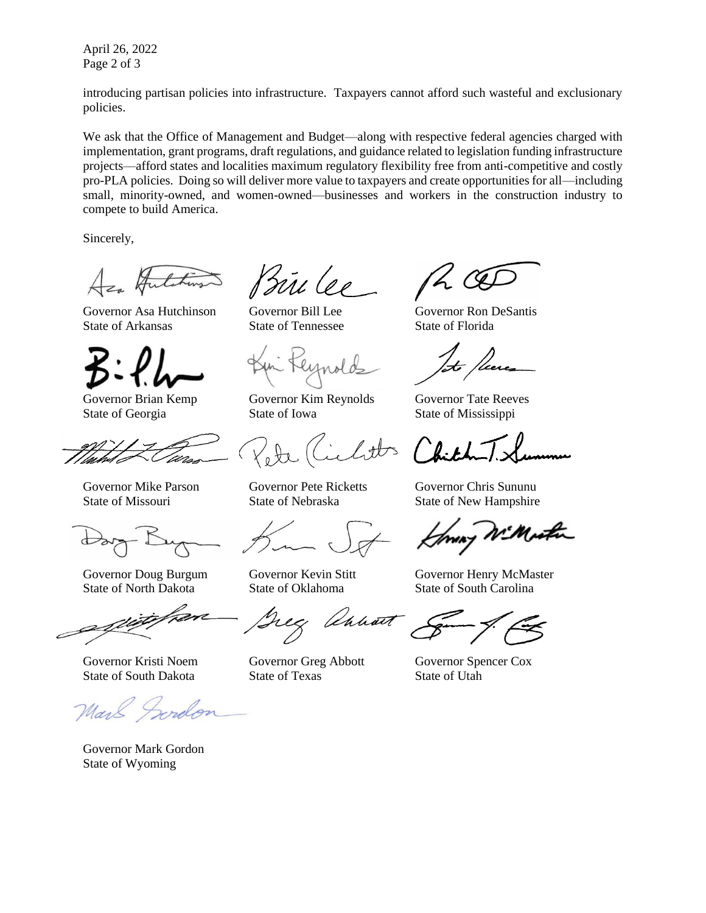April 26, 2022 Page 2 of 3

introducing partisan policies into infrastructure. Taxpayers cannot afford such wasteful and exclusionary policies.

We ask that the Office of Management and Budget—along with respective federal agencies charged with implementation, grant programs, draft regulations, and guidance related to legislation funding infrastructure projects––afford states and localities maximum regulatory flexibility free from anti-competitive and costly pro-PLA policies. Doing so will deliver more value to taxpayers and create opportunities for all—including small, minority-owned, and women-owned—businesses and workers in the construction industry to compete to build America.

Sincerely,

Governor Asa Hutchinson Governor Bill Lee Governor Ron DeSantis State of Arkansas State of Tennessee State of Florida



State of North Dakota State of Oklahoma State of South Carolina

Governor Mark Gordon State of Wyoming

Bûl lee

Governor Brian Kemp Governor Kim Reynolds Governor Tate Reeves State of Georgia State of Iowa State of Mississippi

tts

Unhart

Governor Kristi Noem Governor Greg Abbott Governor Spencer Cox State of South Dakota State of Texas State of Utah

 $26$ 

Governor Mike Parson Governor Pete Ricketts Governor Chris Sununu State of Missouri State of Nebraska State of New Hampshire

Governor Doug Burgum Governor Kevin Stitt Governor Henry McMaster